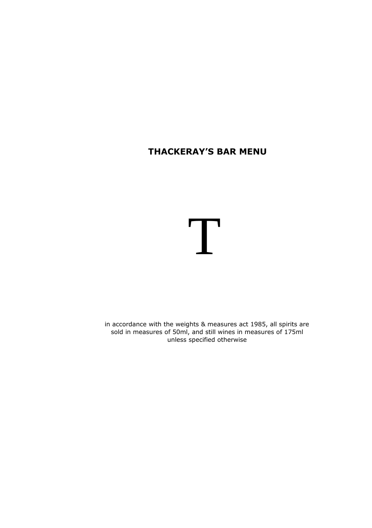# **THACKERAY'S BAR MENU**

# T

in accordance with the weights & measures act 1985, all spirits are sold in measures of 50ml, and still wines in measures of 175ml unless specified otherwise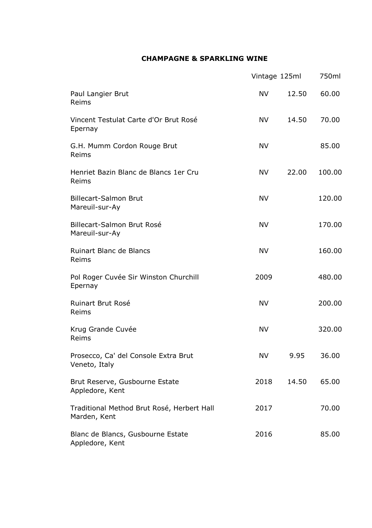# **CHAMPAGNE & SPARKLING WINE**

|                                                            | Vintage 125ml |       | 750ml  |  |
|------------------------------------------------------------|---------------|-------|--------|--|
| Paul Langier Brut<br>Reims                                 | <b>NV</b>     | 12.50 | 60.00  |  |
| Vincent Testulat Carte d'Or Brut Rosé<br>Epernay           | <b>NV</b>     | 14.50 | 70.00  |  |
| G.H. Mumm Cordon Rouge Brut<br>Reims                       | <b>NV</b>     |       | 85.00  |  |
| Henriet Bazin Blanc de Blancs 1er Cru<br>Reims             | NV            | 22.00 | 100.00 |  |
| <b>Billecart-Salmon Brut</b><br>Mareuil-sur-Ay             | <b>NV</b>     |       | 120.00 |  |
| Billecart-Salmon Brut Rosé<br>Mareuil-sur-Ay               | <b>NV</b>     |       | 170.00 |  |
| <b>Ruinart Blanc de Blancs</b><br>Reims                    | <b>NV</b>     |       | 160.00 |  |
| Pol Roger Cuvée Sir Winston Churchill<br>Epernay           | 2009          |       | 480.00 |  |
| <b>Ruinart Brut Rosé</b><br>Reims                          | <b>NV</b>     |       | 200.00 |  |
| Krug Grande Cuvée<br>Reims                                 | <b>NV</b>     |       | 320.00 |  |
| Prosecco, Ca' del Console Extra Brut<br>Veneto, Italy      | NV.           | 9.95  | 36.00  |  |
| Brut Reserve, Gusbourne Estate<br>Appledore, Kent          | 2018          | 14.50 | 65.00  |  |
| Traditional Method Brut Rosé, Herbert Hall<br>Marden, Kent | 2017          |       | 70.00  |  |
| Blanc de Blancs, Gusbourne Estate<br>Appledore, Kent       | 2016          |       | 85.00  |  |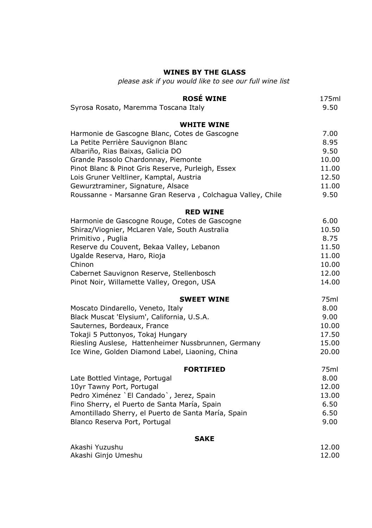# **WINES BY THE GLASS**

*please ask if you would like to see our full wine list*

| <b>ROSÉ WINE</b><br>Syrosa Rosato, Maremma Toscana Italy   | 175ml<br>9.50 |
|------------------------------------------------------------|---------------|
| <b>WHITE WINE</b>                                          |               |
| Harmonie de Gascogne Blanc, Cotes de Gascogne              | 7.00          |
| La Petite Perrière Sauvignon Blanc                         | 8.95          |
| Albariño, Rias Baixas, Galicia DO                          | 9.50          |
| Grande Passolo Chardonnay, Piemonte                        | 10.00         |
| Pinot Blanc & Pinot Gris Reserve, Purleigh, Essex          | 11.00         |
| Lois Gruner Veltliner, Kamptal, Austria                    | 12.50         |
| Gewurztraminer, Signature, Alsace                          | 11.00         |
| Roussanne - Marsanne Gran Reserva, Colchagua Valley, Chile | 9.50          |
| <b>RED WINE</b>                                            |               |
| Harmonie de Gascogne Rouge, Cotes de Gascogne              | 6.00          |
| Shiraz/Viognier, McLaren Vale, South Australia             | 10.50         |
| Primitivo, Puglia                                          | 8.75          |
| Reserve du Couvent, Bekaa Valley, Lebanon                  | 11.50         |
| Ugalde Reserva, Haro, Rioja                                | 11.00         |
| Chinon                                                     | 10.00         |
| Cabernet Sauvignon Reserve, Stellenbosch                   | 12.00         |
| Pinot Noir, Willamette Valley, Oregon, USA                 | 14.00         |
| <b>SWEET WINE</b>                                          | 75ml          |
| Moscato Dindarello, Veneto, Italy                          | 8.00          |
| Black Muscat 'Elysium', California, U.S.A.                 | 9.00          |
| Sauternes, Bordeaux, France                                | 10.00         |
| Tokaji 5 Puttonyos, Tokaj Hungary                          | 17.50         |
| Riesling Auslese, Hattenheimer Nussbrunnen, Germany        | 15.00         |
| Ice Wine, Golden Diamond Label, Liaoning, China            | 20.00         |
| <b>FORTIFIED</b>                                           | 75ml          |
| Late Bottled Vintage, Portugal                             | 8.00          |
| 10yr Tawny Port, Portugal                                  | 12.00         |
| Pedro Ximénez `El Candado`, Jerez, Spain                   | 13.00         |
| Fino Sherry, el Puerto de Santa María, Spain               | 6.50          |
| Amontillado Sherry, el Puerto de Santa María, Spain        | 6.50          |
| Blanco Reserva Port, Portugal                              | 9.00          |
| <b>SAKE</b>                                                |               |
| Akashi Yuzushu                                             | 12.00         |
| Akashi Ginjo Umeshu                                        | 12.00         |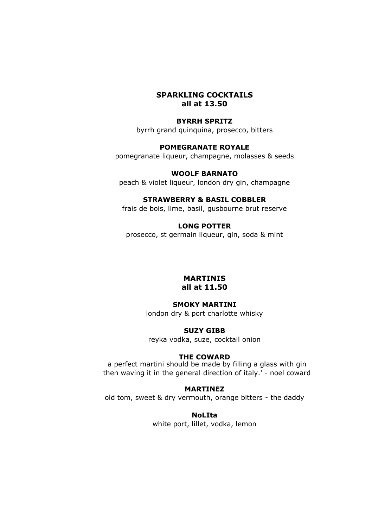# **SPARKLING COCKTAILS all at 13.50**

# **BYRRH SPRITZ**

byrrh grand quinquina, prosecco, bitters

# **POMEGRANATE ROYALE**

pomegranate liqueur, champagne, molasses & seeds

#### **WOOLF BARNATO**

peach & violet liqueur, london dry gin, champagne

#### **STRAWBERRY & BASIL COBBLER**

frais de bois, lime, basil, gusbourne brut reserve

# **LONG POTTER**

prosecco, st germain liqueur, gin, soda & mint

#### **MARTINIS all at 11.50**

#### **SMOKY MARTINI**

london dry & port charlotte whisky

#### **SUZY GIBB**

reyka vodka, suze, cocktail onion

#### **THE COWARD**

a perfect martini should be made by filling a glass with gin then waving it in the general direction of italy.' - noel coward

#### **MARTINEZ**

old tom, sweet & dry vermouth, orange bitters - the daddy

#### **NoLIta**

white port, lillet, vodka, lemon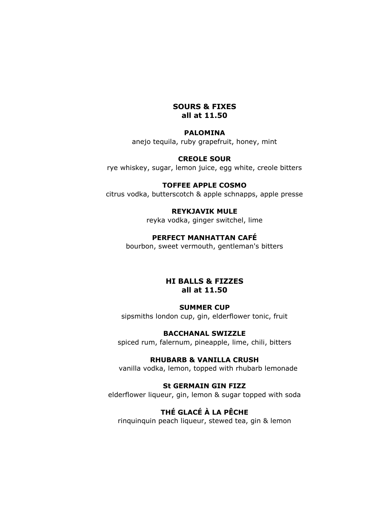# **SOURS & FIXES all at 11.50**

#### **PALOMINA**

anejo tequila, ruby grapefruit, honey, mint

#### **CREOLE SOUR**

rye whiskey, sugar, lemon juice, egg white, creole bitters

#### **TOFFEE APPLE COSMO**

citrus vodka, butterscotch & apple schnapps, apple presse

# **REYKJAVIK MULE**

reyka vodka, ginger switchel, lime

## **PERFECT MANHATTAN CAFÉ**

bourbon, sweet vermouth, gentleman's bitters

## **HI BALLS & FIZZES all at 11.50**

#### **SUMMER CUP**

sipsmiths london cup, gin, elderflower tonic, fruit

#### **BACCHANAL SWIZZLE**

spiced rum, falernum, pineapple, lime, chili, bitters

# **RHUBARB & VANILLA CRUSH**

vanilla vodka, lemon, topped with rhubarb lemonade

# **St GERMAIN GIN FIZZ**

elderflower liqueur, gin, lemon & sugar topped with soda

# **THÉ GLACÉ À LA PÊCHE**

rinquinquin peach liqueur, stewed tea, gin & lemon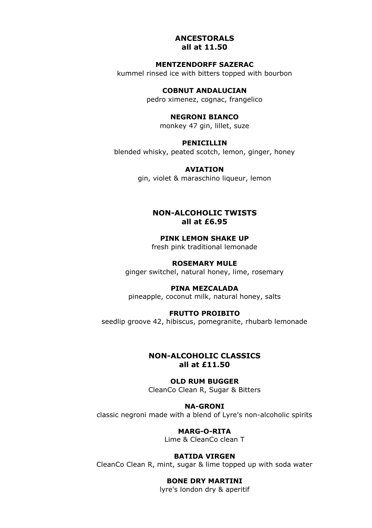#### **ANCESTORALS all at 11.50**

# **MENTZENDORFF SAZERAC**

kummel rinsed ice with bitters topped with bourbon

**COBNUT ANDALUCIAN**

pedro ximenez, cognac, frangelico

#### **NEGRONI BIANCO**

monkey 47 gin, lillet, suze

#### **PENICILLIN**

blended whisky, peated scotch, lemon, ginger, honey

#### **AVIATION**

gin, violet & maraschino liqueur, lemon

# **NON-ALCOHOLIC TWISTS all at £6.95**

**PINK LEMON SHAKE UP** fresh pink traditional lemonade

#### **ROSEMARY MULE** ginger switchel, natural honey, lime, rosemary

**PINA MEZCALADA** pineapple, coconut milk, natural honey, salts

#### **FRUTTO PROIBITO**

seedlip groove 42, hibiscus, pomegranite, rhubarb lemonade

# **NON-ALCOHOLIC CLASSICS all at £11.50**

#### **OLD RUM BUGGER** CleanCo Clean R, Sugar & Bitters

**NA-GRONI** classic negroni made with a blend of Lyre's non-alcoholic spirits

> **MARG-O-RITA** Lime & CleanCo clean T

#### **BATIDA VIRGEN** CleanCo Clean R, mint, sugar & lime topped up with soda water

# **BONE DRY MARTINI**

lyre's london dry & aperitif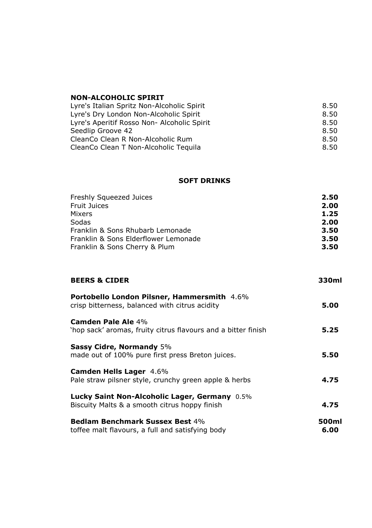## **NON-ALCOHOLIC SPIRIT**

| 8.50 |
|------|
| 8.50 |
| 8.50 |
| 8.50 |
| 8.50 |
| 8.50 |
|      |

#### **SOFT DRINKS**

| Freshly Squeezed Juices              | 2.50 |
|--------------------------------------|------|
| <b>Fruit Juices</b>                  | 2.00 |
| Mixers                               | 1.25 |
| Sodas                                | 2.00 |
| Franklin & Sons Rhubarb Lemonade     | 3.50 |
| Franklin & Sons Elderflower Lemonade | 3.50 |
| Franklin & Sons Cherry & Plum        | 3.50 |

| <b>BEERS &amp; CIDER</b>                                                                             | 330ml         |
|------------------------------------------------------------------------------------------------------|---------------|
| <b>Portobello London Pilsner, Hammersmith 4.6%</b><br>crisp bitterness, balanced with citrus acidity | 5.00          |
| Camden Pale Ale 4%<br>'hop sack' aromas, fruity citrus flavours and a bitter finish                  | 5.25          |
| <b>Sassy Cidre, Normandy 5%</b><br>made out of 100% pure first press Breton juices.                  | 5.50          |
| <b>Camden Hells Lager 4.6%</b><br>Pale straw pilsner style, crunchy green apple & herbs              | 4.75          |
| Lucky Saint Non-Alcoholic Lager, Germany 0.5%<br>Biscuity Malts & a smooth citrus hoppy finish       | 4.75          |
| <b>Bedlam Benchmark Sussex Best 4%</b><br>toffee malt flavours, a full and satisfying body           | 500ml<br>6.00 |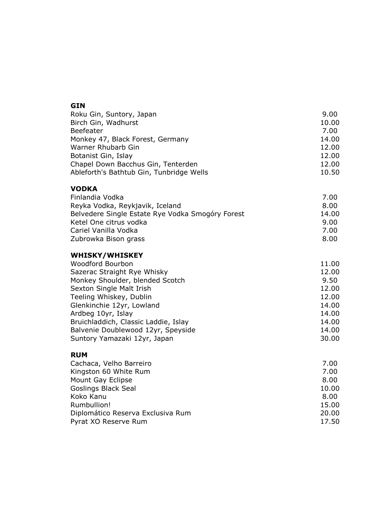| GIN<br>Roku Gin, Suntory, Japan<br>Birch Gin, Wadhurst<br>Beefeater<br>Monkey 47, Black Forest, Germany<br>Warner Rhubarb Gin<br>Botanist Gin, Islay<br>Chapel Down Bacchus Gin, Tenterden<br>Ableforth's Bathtub Gin, Tunbridge Wells                                                                                              | 9.00<br>10.00<br>7.00<br>14.00<br>12.00<br>12.00<br>12.00<br>10.50                    |
|-------------------------------------------------------------------------------------------------------------------------------------------------------------------------------------------------------------------------------------------------------------------------------------------------------------------------------------|---------------------------------------------------------------------------------------|
| <b>VODKA</b><br>Finlandia Vodka<br>Reyka Vodka, Reykjavik, Iceland<br>Belvedere Single Estate Rye Vodka Smogóry Forest<br>Ketel One citrus vodka<br>Cariel Vanilla Vodka<br>Zubrowka Bison grass                                                                                                                                    | 7.00<br>8.00<br>14.00<br>9.00<br>7.00<br>8.00                                         |
| <b>WHISKY/WHISKEY</b><br>Woodford Bourbon<br>Sazerac Straight Rye Whisky<br>Monkey Shoulder, blended Scotch<br>Sexton Single Malt Irish<br>Teeling Whiskey, Dublin<br>Glenkinchie 12yr, Lowland<br>Ardbeg 10yr, Islay<br>Bruichladdich, Classic Laddie, Islay<br>Balvenie Doublewood 12yr, Speyside<br>Suntory Yamazaki 12yr, Japan | 11.00<br>12.00<br>9.50<br>12.00<br>12.00<br>14.00<br>14.00<br>14.00<br>14.00<br>30.00 |
| <b>RUM</b><br>Cachaca, Velho Barreiro<br>Kingston 60 White Rum<br>Mount Gay Eclipse<br>Goslings Black Seal<br>Koko Kanu<br>Rumbullion!<br>Diplomático Reserva Exclusiva Rum<br>Pyrat XO Reserve Rum                                                                                                                                 | 7.00<br>7.00<br>8.00<br>10.00<br>8.00<br>15.00<br>20,00<br>17.50                      |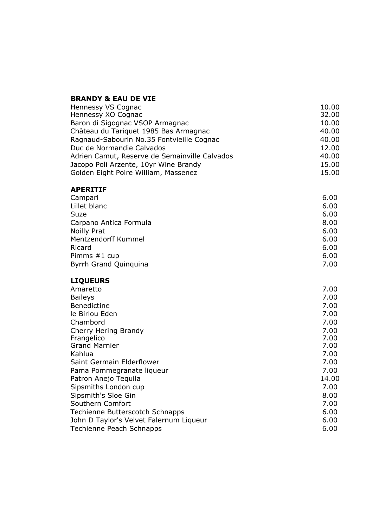# **BRANDY & EAU DE VIE**

| Hennessy VS Cognac                            | 10.00 |
|-----------------------------------------------|-------|
| Hennessy XO Cognac                            | 32.00 |
| Baron di Sigognac VSOP Armagnac               | 10.00 |
| Château du Tariquet 1985 Bas Armagnac         | 40.00 |
| Ragnaud-Sabourin No.35 Fontvieille Cognac     | 40.00 |
| Duc de Normandie Calvados                     | 12.00 |
| Adrien Camut, Reserve de Semainville Calvados | 40.00 |
| Jacopo Poli Arzente, 10yr Wine Brandy         | 15.00 |
| Golden Eight Poire William, Massenez          | 15.00 |
|                                               |       |

#### **APERITIF**

| Campari                | 6.00 |
|------------------------|------|
| Lillet blanc           | 6.00 |
| Suze                   | 6.00 |
| Carpano Antica Formula | 8.00 |
| Noilly Prat            | 6.00 |
| Mentzendorff Kummel    | 6.00 |
| Ricard                 | 6.00 |
| Pimms #1 cup           | 6.00 |
| Byrrh Grand Quinguina  | 7.00 |
|                        |      |

# **LIQUEURS**

| Amaretto                                | 7.00  |
|-----------------------------------------|-------|
| <b>Baileys</b>                          | 7.00  |
| Benedictine                             | 7.00  |
| le Birlou Eden                          | 7.00  |
| Chambord                                | 7.00  |
| Cherry Hering Brandy                    | 7.00  |
| Frangelico                              | 7.00  |
| <b>Grand Marnier</b>                    | 7.00  |
| Kahlua                                  | 7.00  |
| Saint Germain Elderflower               | 7.00  |
| Pama Pommegranate liqueur               | 7.00  |
| Patron Anejo Teguila                    | 14.00 |
| Sipsmiths London cup                    | 7.00  |
| Sipsmith's Sloe Gin                     | 8.00  |
| Southern Comfort                        | 7.00  |
| Techienne Butterscotch Schnapps         | 6.00  |
| John D Taylor's Velvet Falernum Liqueur | 6.00  |
| Techienne Peach Schnapps                | 6.00  |